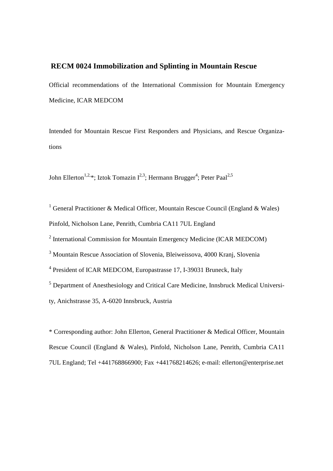# **RECM 0024 Immobilization and Splinting in Mountain Rescue**

Official recommendations of the International Commission for Mountain Emergency Medicine, ICAR MEDCOM

Intended for Mountain Rescue First Responders and Physicians, and Rescue Organizations

John Ellerton<sup>1,2,\*</sup>; Iztok Tomazin I<sup>2,3</sup>; Hermann Brugger<sup>4</sup>; Peter Paal<sup>2,5</sup>

<sup>1</sup> General Practitioner & Medical Officer, Mountain Rescue Council (England & Wales) Pinfold, Nicholson Lane, Penrith, Cumbria CA11 7UL England

 $2$  International Commission for Mountain Emergency Medicine (ICAR MEDCOM)

<sup>3</sup> Mountain Rescue Association of Slovenia, Bleiweissova, 4000 Kranj, Slovenia

<sup>4</sup> President of ICAR MEDCOM, Europastrasse 17, I-39031 Bruneck, Italy

<sup>5</sup> Department of Anesthesiology and Critical Care Medicine, Innsbruck Medical Universi-

ty, Anichstrasse 35, A-6020 Innsbruck, Austria

\* Corresponding author: John Ellerton, General Practitioner & Medical Officer, Mountain Rescue Council (England & Wales), Pinfold, Nicholson Lane, Penrith, Cumbria CA11 7UL England; Tel +441768866900; Fax +441768214626; e-mail: [ellerton@enterprise.net](mailto:ellerton@enterprise.net)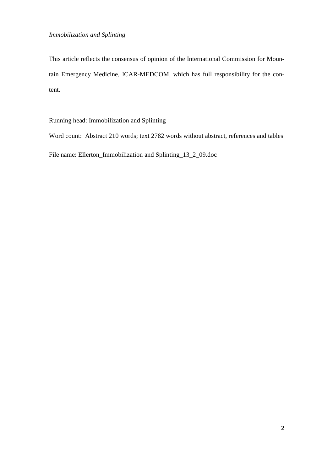This article reflects the consensus of opinion of the International Commission for Mountain Emergency Medicine, ICAR-MEDCOM, which has full responsibility for the content.

Running head: Immobilization and Splinting

Word count: Abstract 210 words; text 2782 words without abstract, references and tables File name: Ellerton\_Immobilization and Splinting\_13\_2\_09.doc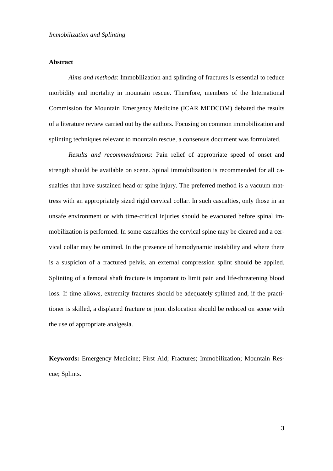# **Abstract**

*Aims and methods*: Immobilization and splinting of fractures is essential to reduce morbidity and mortality in mountain rescue. Therefore, members of the International Commission for Mountain Emergency Medicine (ICAR MEDCOM) debated the results of a literature review carried out by the authors. Focusing on common immobilization and splinting techniques relevant to mountain rescue, a consensus document was formulated.

*Results and recommendations*: Pain relief of appropriate speed of onset and strength should be available on scene. Spinal immobilization is recommended for all casualties that have sustained head or spine injury. The preferred method is a vacuum mattress with an appropriately sized rigid cervical collar. In such casualties, only those in an unsafe environment or with time-critical injuries should be evacuated before spinal immobilization is performed. In some casualties the cervical spine may be cleared and a cervical collar may be omitted. In the presence of hemodynamic instability and where there is a suspicion of a fractured pelvis, an external compression splint should be applied. Splinting of a femoral shaft fracture is important to limit pain and life-threatening blood loss. If time allows, extremity fractures should be adequately splinted and, if the practitioner is skilled, a displaced fracture or joint dislocation should be reduced on scene with the use of appropriate analgesia.

**Keywords:** Emergency Medicine; First Aid; Fractures; Immobilization; Mountain Rescue; Splints.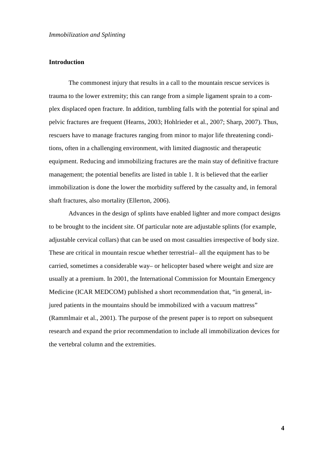# **Introduction**

The commonest injury that results in a call to the mountain rescue services is trauma to the lower extremity; this can range from a simple ligament sprain to a complex displaced open fracture. In addition, tumbling falls with the potential for spinal and pelvic fractures are frequent (Hearns, 2003; Hohlrieder et al., 2007; Sharp, 2007). Thus, rescuers have to manage fractures ranging from minor to major life threatening conditions, often in a challenging environment, with limited diagnostic and therapeutic equipment. Reducing and immobilizing fractures are the main stay of definitive fracture management; the potential benefits are listed in table 1. It is believed that the earlier immobilization is done the lower the morbidity suffered by the casualty and, in femoral shaft fractures, also mortality (Ellerton, 2006).

Advances in the design of splints have enabled lighter and more compact designs to be brought to the incident site. Of particular note are adjustable splints (for example, adjustable cervical collars) that can be used on most casualties irrespective of body size. These are critical in mountain rescue whether terrestrial– all the equipment has to be carried, sometimes a considerable way– or helicopter based where weight and size are usually at a premium. In 2001, the International Commission for Mountain Emergency Medicine (ICAR MEDCOM) published a short recommendation that, "in general, injured patients in the mountains should be immobilized with a vacuum mattress" (Rammlmair et al., 2001). The purpose of the present paper is to report on subsequent research and expand the prior recommendation to include all immobilization devices for the vertebral column and the extremities.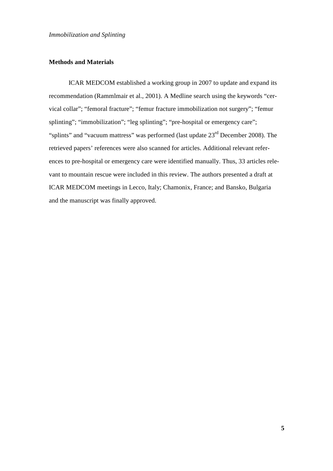# **Methods and Materials**

ICAR MEDCOM established a working group in 2007 to update and expand its recommendation (Rammlmair et al., 2001). A Medline search using the keywords "cervical collar"; "femoral fracture"; "femur fracture immobilization not surgery"; "femur splinting"; "immobilization"; "leg splinting"; "pre-hospital or emergency care"; "splints" and "vacuum mattress" was performed (last update  $23<sup>rd</sup>$  December 2008). The retrieved papers' references were also scanned for articles. Additional relevant references to pre-hospital or emergency care were identified manually. Thus, 33 articles relevant to mountain rescue were included in this review. The authors presented a draft at ICAR MEDCOM meetings in Lecco, Italy; Chamonix, France; and Bansko, Bulgaria and the manuscript was finally approved.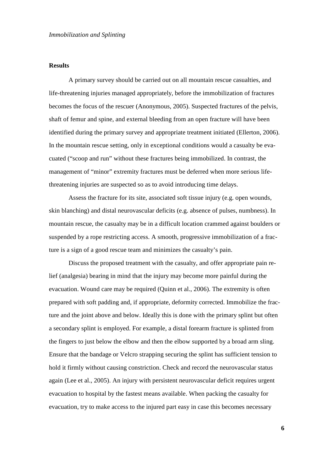# **Results**

A primary survey should be carried out on all mountain rescue casualties, and life-threatening injuries managed appropriately, before the immobilization of fractures becomes the focus of the rescuer (Anonymous, 2005). Suspected fractures of the pelvis, shaft of femur and spine, and external bleeding from an open fracture will have been identified during the primary survey and appropriate treatment initiated (Ellerton, 2006). In the mountain rescue setting, only in exceptional conditions would a casualty be evacuated ("scoop and run" without these fractures being immobilized. In contrast, the management of "minor" extremity fractures must be deferred when more serious lifethreatening injuries are suspected so as to avoid introducing time delays.

Assess the fracture for its site, associated soft tissue injury (e.g. open wounds, skin blanching) and distal neurovascular deficits (e.g. absence of pulses, numbness). In mountain rescue, the casualty may be in a difficult location crammed against boulders or suspended by a rope restricting access. A smooth, progressive immobilization of a fracture is a sign of a good rescue team and minimizes the casualty's pain.

Discuss the proposed treatment with the casualty, and offer appropriate pain relief (analgesia) bearing in mind that the injury may become more painful during the evacuation. Wound care may be required (Quinn et al., 2006). The extremity is often prepared with soft padding and, if appropriate, deformity corrected. Immobilize the fracture and the joint above and below. Ideally this is done with the primary splint but often a secondary splint is employed. For example, a distal forearm fracture is splinted from the fingers to just below the elbow and then the elbow supported by a broad arm sling. Ensure that the bandage or Velcro strapping securing the splint has sufficient tension to hold it firmly without causing constriction. Check and record the neurovascular status again (Lee et al., 2005). An injury with persistent neurovascular deficit requires urgent evacuation to hospital by the fastest means available. When packing the casualty for evacuation, try to make access to the injured part easy in case this becomes necessary

**6**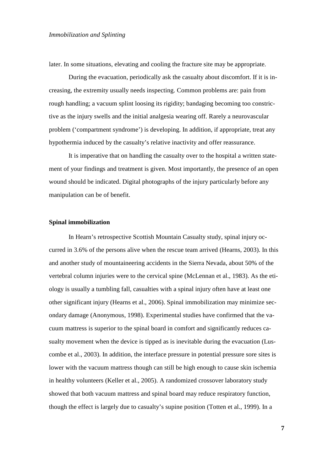later. In some situations, elevating and cooling the fracture site may be appropriate.

During the evacuation, periodically ask the casualty about discomfort. If it is increasing, the extremity usually needs inspecting. Common problems are: pain from rough handling; a vacuum splint loosing its rigidity; bandaging becoming too constrictive as the injury swells and the initial analgesia wearing off. Rarely a neurovascular problem ('compartment syndrome') is developing. In addition, if appropriate, treat any hypothermia induced by the casualty's relative inactivity and offer reassurance.

It is imperative that on handling the casualty over to the hospital a written statement of your findings and treatment is given. Most importantly, the presence of an open wound should be indicated. Digital photographs of the injury particularly before any manipulation can be of benefit.

#### **Spinal immobilization**

In Hearn's retrospective Scottish Mountain Casualty study, spinal injury occurred in 3.6% of the persons alive when the rescue team arrived (Hearns, 2003). In this and another study of mountaineering accidents in the Sierra Nevada, about 50% of the vertebral column injuries were to the cervical spine (McLennan et al., 1983). As the etiology is usually a tumbling fall, casualties with a spinal injury often have at least one other significant injury (Hearns et al., 2006). Spinal immobilization may minimize secondary damage (Anonymous, 1998). Experimental studies have confirmed that the vacuum mattress is superior to the spinal board in comfort and significantly reduces casualty movement when the device is tipped as is inevitable during the evacuation (Luscombe et al., 2003). In addition, the interface pressure in potential pressure sore sites is lower with the vacuum mattress though can still be high enough to cause skin ischemia in healthy volunteers (Keller et al., 2005). A randomized crossover laboratory study showed that both vacuum mattress and spinal board may reduce respiratory function, though the effect is largely due to casualty's supine position (Totten et al., 1999). In a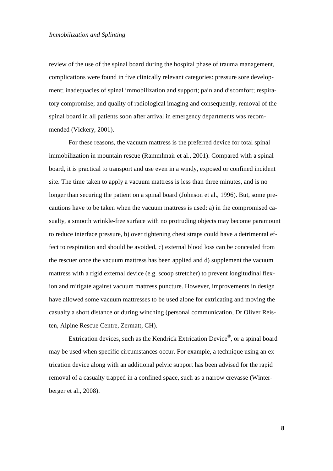review of the use of the spinal board during the hospital phase of trauma management, complications were found in five clinically relevant categories: pressure sore development; inadequacies of spinal immobilization and support; pain and discomfort; respiratory compromise; and quality of radiological imaging and consequently, removal of the spinal board in all patients soon after arrival in emergency departments was recommended (Vickery, 2001).

For these reasons, the vacuum mattress is the preferred device for total spinal immobilization in mountain rescue (Rammlmair et al., 2001). Compared with a spinal board, it is practical to transport and use even in a windy, exposed or confined incident site. The time taken to apply a vacuum mattress is less than three minutes, and is no longer than securing the patient on a spinal board (Johnson et al., 1996). But, some precautions have to be taken when the vacuum mattress is used: a) in the compromised casualty, a smooth wrinkle-free surface with no protruding objects may become paramount to reduce interface pressure, b) over tightening chest straps could have a detrimental effect to respiration and should be avoided, c) external blood loss can be concealed from the rescuer once the vacuum mattress has been applied and d) supplement the vacuum mattress with a rigid external device (e.g. scoop stretcher) to prevent longitudinal flexion and mitigate against vacuum mattress puncture. However, improvements in design have allowed some vacuum mattresses to be used alone for extricating and moving the casualty a short distance or during winching (personal communication, Dr Oliver Reisten, Alpine Rescue Centre, Zermatt, CH).

Extrication devices, such as the Kendrick Extrication Device<sup>®</sup>, or a spinal board may be used when specific circumstances occur. For example, a technique using an extrication device along with an additional pelvic support has been advised for the rapid removal of a casualty trapped in a confined space, such as a narrow crevasse (Winterberger et al., 2008).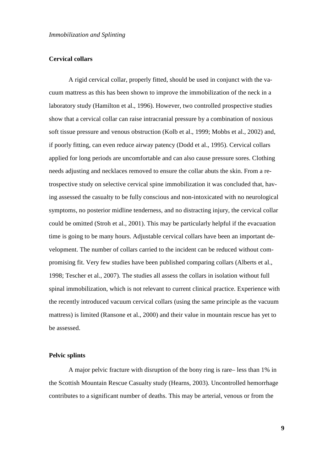# **Cervical collars**

A rigid cervical collar, properly fitted, should be used in conjunct with the vacuum mattress as this has been shown to improve the immobilization of the neck in a laboratory study (Hamilton et al., 1996). However, two controlled prospective studies show that a cervical collar can raise intracranial pressure by a combination of noxious soft tissue pressure and venous obstruction (Kolb et al., 1999; Mobbs et al., 2002) and, if poorly fitting, can even reduce airway patency (Dodd et al., 1995). Cervical collars applied for long periods are uncomfortable and can also cause pressure sores. Clothing needs adjusting and necklaces removed to ensure the collar abuts the skin. From a retrospective study on selective cervical spine immobilization it was concluded that, having assessed the casualty to be fully conscious and non-intoxicated with no neurological symptoms, no posterior midline tenderness, and no distracting injury, the cervical collar could be omitted (Stroh et al., 2001). This may be particularly helpful if the evacuation time is going to be many hours. Adjustable cervical collars have been an important development. The number of collars carried to the incident can be reduced without compromising fit. Very few studies have been published comparing collars (Alberts et al., 1998; Tescher et al., 2007). The studies all assess the collars in isolation without full spinal immobilization, which is not relevant to current clinical practice. Experience with the recently introduced vacuum cervical collars (using the same principle as the vacuum mattress) is limited (Ransone et al., 2000) and their value in mountain rescue has yet to be assessed.

# **Pelvic splints**

A major pelvic fracture with disruption of the bony ring is rare– less than 1% in the Scottish Mountain Rescue Casualty study (Hearns, 2003). Uncontrolled hemorrhage contributes to a significant number of deaths. This may be arterial, venous or from the

**9**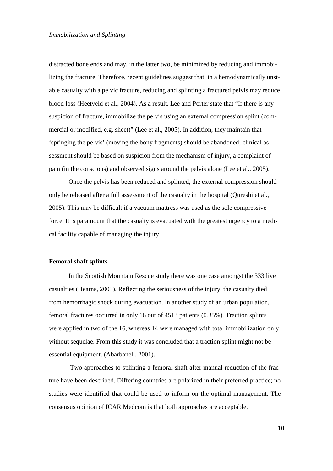distracted bone ends and may, in the latter two, be minimized by reducing and immobilizing the fracture. Therefore, recent guidelines suggest that, in a hemodynamically unstable casualty with a pelvic fracture, reducing and splinting a fractured pelvis may reduce blood loss (Heetveld et al., 2004). As a result, Lee and Porter state that "If there is any suspicion of fracture, immobilize the pelvis using an external compression splint (commercial or modified, e.g. sheet)" (Lee et al., 2005). In addition, they maintain that 'springing the pelvis' (moving the bony fragments) should be abandoned; clinical assessment should be based on suspicion from the mechanism of injury, a complaint of pain (in the conscious) and observed signs around the pelvis alone (Lee et al., 2005).

Once the pelvis has been reduced and splinted, the external compression should only be released after a full assessment of the casualty in the hospital (Qureshi et al., 2005). This may be difficult if a vacuum mattress was used as the sole compressive force. It is paramount that the casualty is evacuated with the greatest urgency to a medical facility capable of managing the injury.

# **Femoral shaft splints**

In the Scottish Mountain Rescue study there was one case amongst the 333 live casualties (Hearns, 2003). Reflecting the seriousness of the injury, the casualty died from hemorrhagic shock during evacuation. In another study of an urban population, femoral fractures occurred in only 16 out of 4513 patients (0.35%). Traction splints were applied in two of the 16, whereas 14 were managed with total immobilization only without sequelae. From this study it was concluded that a traction splint might not be essential equipment. (Abarbanell, 2001).

Two approaches to splinting a femoral shaft after manual reduction of the fracture have been described. Differing countries are polarized in their preferred practice; no studies were identified that could be used to inform on the optimal management. The consensus opinion of ICAR Medcom is that both approaches are acceptable.

**10**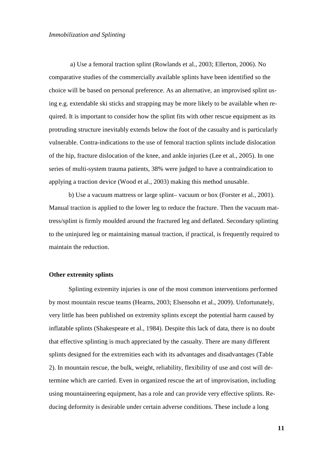a) Use a femoral traction splint (Rowlands et al., 2003; Ellerton, 2006). No comparative studies of the commercially available splints have been identified so the choice will be based on personal preference. As an alternative, an improvised splint using e.g. extendable ski sticks and strapping may be more likely to be available when required. It is important to consider how the splint fits with other rescue equipment as its protruding structure inevitably extends below the foot of the casualty and is particularly vulnerable. Contra-indications to the use of femoral traction splints include dislocation of the hip, fracture dislocation of the knee, and ankle injuries (Lee et al., 2005). In one series of multi-system trauma patients, 38% were judged to have a contraindication to applying a traction device (Wood et al., 2003) making this method unusable.

b) Use a vacuum mattress or large splint– vacuum or box (Forster et al., 2001). Manual traction is applied to the lower leg to reduce the fracture. Then the vacuum mattress/splint is firmly moulded around the fractured leg and deflated. Secondary splinting to the uninjured leg or maintaining manual traction, if practical, is frequently required to maintain the reduction.

#### **Other extremity splints**

Splinting extremity injuries is one of the most common interventions performed by most mountain rescue teams (Hearns, 2003; Elsensohn et al., 2009). Unfortunately, very little has been published on extremity splints except the potential harm caused by inflatable splints (Shakespeare et al., 1984). Despite this lack of data, there is no doubt that effective splinting is much appreciated by the casualty. There are many different splints designed for the extremities each with its advantages and disadvantages (Table 2). In mountain rescue, the bulk, weight, reliability, flexibility of use and cost will determine which are carried. Even in organized rescue the art of improvisation, including using mountaineering equipment, has a role and can provide very effective splints. Reducing deformity is desirable under certain adverse conditions. These include a long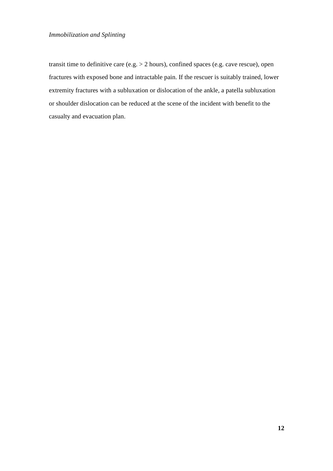transit time to definitive care (e.g. > 2 hours), confined spaces (e.g. cave rescue), open fractures with exposed bone and intractable pain. If the rescuer is suitably trained, lower extremity fractures with a subluxation or dislocation of the ankle, a patella subluxation or shoulder dislocation can be reduced at the scene of the incident with benefit to the casualty and evacuation plan.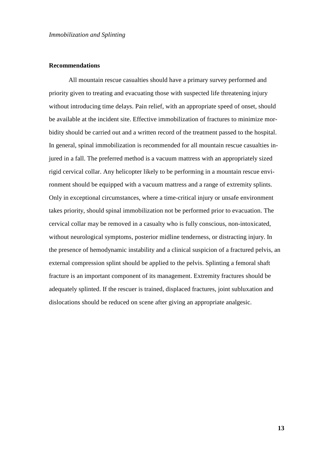# **Recommendations**

All mountain rescue casualties should have a primary survey performed and priority given to treating and evacuating those with suspected life threatening injury without introducing time delays. Pain relief, with an appropriate speed of onset, should be available at the incident site. Effective immobilization of fractures to minimize morbidity should be carried out and a written record of the treatment passed to the hospital. In general, spinal immobilization is recommended for all mountain rescue casualties injured in a fall. The preferred method is a vacuum mattress with an appropriately sized rigid cervical collar. Any helicopter likely to be performing in a mountain rescue environment should be equipped with a vacuum mattress and a range of extremity splints. Only in exceptional circumstances, where a time-critical injury or unsafe environment takes priority, should spinal immobilization not be performed prior to evacuation. The cervical collar may be removed in a casualty who is fully conscious, non-intoxicated, without neurological symptoms, posterior midline tenderness, or distracting injury. In the presence of hemodynamic instability and a clinical suspicion of a fractured pelvis, an external compression splint should be applied to the pelvis. Splinting a femoral shaft fracture is an important component of its management. Extremity fractures should be adequately splinted. If the rescuer is trained, displaced fractures, joint subluxation and dislocations should be reduced on scene after giving an appropriate analgesic.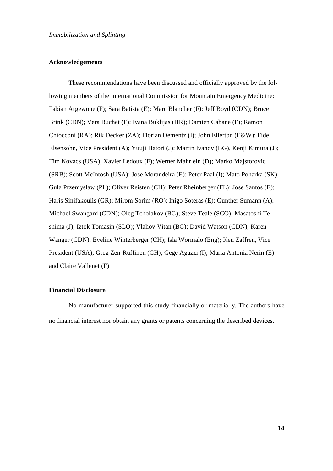## **Acknowledgements**

These recommendations have been discussed and officially approved by the following members of the International Commission for Mountain Emergency Medicine: Fabian Argewone (F); Sara Batista (E); Marc Blancher (F); Jeff Boyd (CDN); Bruce Brink (CDN); Vera Buchet (F); Ivana Buklijas (HR); Damien Cabane (F); Ramon Chiocconi (RA); Rik Decker (ZA); Florian Dementz (I); John Ellerton (E&W); Fidel Elsensohn, Vice President (A); Yuuji Hatori (J); Martin Ivanov (BG), Kenji Kimura (J); Tim Kovacs (USA); Xavier Ledoux (F); Werner Mahrlein (D); Marko Majstorovic (SRB); Scott McIntosh (USA); Jose Morandeira (E); Peter Paal (I); Mato Poharka (SK); Gula Przemyslaw (PL); Oliver Reisten (CH); Peter Rheinberger (FL); Jose Santos (E); Haris Sinifakoulis (GR); Mirom Sorim (RO); Inigo Soteras (E); Gunther Sumann (A); Michael Swangard (CDN); Oleg Tcholakov (BG); Steve Teale (SCO); Masatoshi Teshima (J); Iztok Tomasin (SLO); Vlahov Vitan (BG); David Watson (CDN); Karen Wanger (CDN); Eveline Winterberger (CH); Isla Wormalo (Eng); Ken Zaffren, Vice President (USA); Greg Zen-Ruffinen (CH); Gege Agazzi (I); Maria Antonia Nerin (E) and Claire Vallenet (F)

# **Financial Disclosure**

No manufacturer supported this study financially or materially. The authors have no financial interest nor obtain any grants or patents concerning the described devices.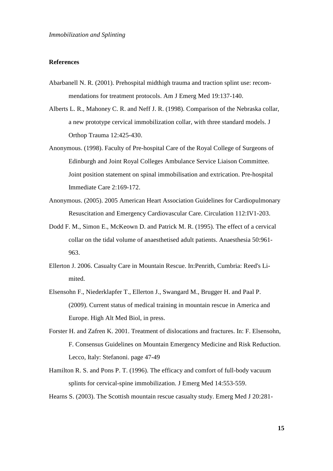# **References**

- Abarbanell N. R. (2001). Prehospital midthigh trauma and traction splint use: recommendations for treatment protocols. Am J Emerg Med 19:137-140.
- Alberts L. R., Mahoney C. R. and Neff J. R. (1998). Comparison of the Nebraska collar, a new prototype cervical immobilization collar, with three standard models. J Orthop Trauma 12:425-430.
- Anonymous. (1998). Faculty of Pre-hospital Care of the Royal College of Surgeons of Edinburgh and Joint Royal Colleges Ambulance Service Liaison Committee. Joint position statement on spinal immobilisation and extrication. Pre-hospital Immediate Care 2:169-172.
- Anonymous. (2005). 2005 American Heart Association Guidelines for Cardiopulmonary Resuscitation and Emergency Cardiovascular Care. Circulation 112:IV1-203.
- Dodd F. M., Simon E., McKeown D. and Patrick M. R. (1995). The effect of a cervical collar on the tidal volume of anaesthetised adult patients. Anaesthesia 50:961- 963.
- Ellerton J. 2006. Casualty Care in Mountain Rescue. In:Penrith, Cumbria: Reed's Limited.
- Elsensohn F., Niederklapfer T., Ellerton J., Swangard M., Brugger H. and Paal P. (2009). Current status of medical training in mountain rescue in America and Europe. High Alt Med Biol, in press.
- Forster H. and Zafren K. 2001. Treatment of dislocations and fractures. In: F. Elsensohn, F. Consensus Guidelines on Mountain Emergency Medicine and Risk Reduction. Lecco, Italy: Stefanoni. page 47-49
- Hamilton R. S. and Pons P. T. (1996). The efficacy and comfort of full-body vacuum splints for cervical-spine immobilization. J Emerg Med 14:553-559.

Hearns S. (2003). The Scottish mountain rescue casualty study. Emerg Med J 20:281-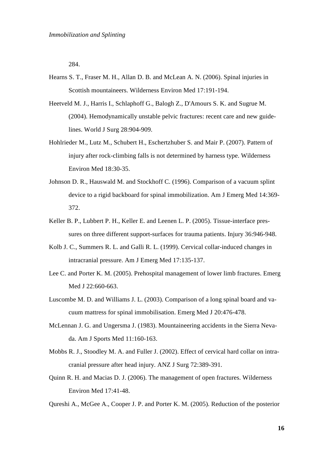284.

- Hearns S. T., Fraser M. H., Allan D. B. and McLean A. N. (2006). Spinal injuries in Scottish mountaineers. Wilderness Environ Med 17:191-194.
- Heetveld M. J., Harris I., Schlaphoff G., Balogh Z., D'Amours S. K. and Sugrue M. (2004). Hemodynamically unstable pelvic fractures: recent care and new guidelines. World J Surg 28:904-909.
- Hohlrieder M., Lutz M., Schubert H., Eschertzhuber S. and Mair P. (2007). Pattern of injury after rock-climbing falls is not determined by harness type. Wilderness Environ Med 18:30-35.
- Johnson D. R., Hauswald M. and Stockhoff C. (1996). Comparison of a vacuum splint device to a rigid backboard for spinal immobilization. Am J Emerg Med 14:369- 372.
- Keller B. P., Lubbert P. H., Keller E. and Leenen L. P. (2005). Tissue-interface pressures on three different support-surfaces for trauma patients. Injury 36:946-948.
- Kolb J. C., Summers R. L. and Galli R. L. (1999). Cervical collar-induced changes in intracranial pressure. Am J Emerg Med 17:135-137.
- Lee C. and Porter K. M. (2005). Prehospital management of lower limb fractures. Emerg Med J 22:660-663.
- Luscombe M. D. and Williams J. L. (2003). Comparison of a long spinal board and vacuum mattress for spinal immobilisation. Emerg Med J 20:476-478.
- McLennan J. G. and Ungersma J. (1983). Mountaineering accidents in the Sierra Nevada. Am J Sports Med 11:160-163.
- Mobbs R. J., Stoodley M. A. and Fuller J. (2002). Effect of cervical hard collar on intracranial pressure after head injury. ANZ J Surg 72:389-391.
- Quinn R. H. and Macias D. J. (2006). The management of open fractures. Wilderness Environ Med 17:41-48.
- Qureshi A., McGee A., Cooper J. P. and Porter K. M. (2005). Reduction of the posterior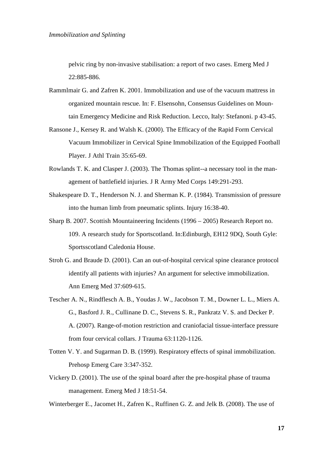pelvic ring by non-invasive stabilisation: a report of two cases. Emerg Med J 22:885-886.

- Rammlmair G. and Zafren K. 2001. Immobilization and use of the vacuum mattress in organized mountain rescue. In: F. Elsensohn, Consensus Guidelines on Mountain Emergency Medicine and Risk Reduction. Lecco, Italy: Stefanoni. p 43-45.
- Ransone J., Kersey R. and Walsh K. (2000). The Efficacy of the Rapid Form Cervical Vacuum Immobilizer in Cervical Spine Immobilization of the Equipped Football Player. J Athl Train 35:65-69.
- Rowlands T. K. and Clasper J. (2003). The Thomas splint--a necessary tool in the management of battlefield injuries. J R Army Med Corps 149:291-293.
- Shakespeare D. T., Henderson N. J. and Sherman K. P. (1984). Transmission of pressure into the human limb from pneumatic splints. Injury 16:38-40.
- Sharp B. 2007. Scottish Mountaineering Incidents (1996 2005) Research Report no. 109. A research study for Sportscotland. In:Edinburgh, EH12 9DQ, South Gyle: Sportsscotland Caledonia House.
- Stroh G. and Braude D. (2001). Can an out-of-hospital cervical spine clearance protocol identify all patients with injuries? An argument for selective immobilization. Ann Emerg Med 37:609-615.
- Tescher A. N., Rindflesch A. B., Youdas J. W., Jacobson T. M., Downer L. L., Miers A. G., Basford J. R., Cullinane D. C., Stevens S. R., Pankratz V. S. and Decker P. A. (2007). Range-of-motion restriction and craniofacial tissue-interface pressure from four cervical collars. J Trauma 63:1120-1126.
- Totten V. Y. and Sugarman D. B. (1999). Respiratory effects of spinal immobilization. Prehosp Emerg Care 3:347-352.
- Vickery D. (2001). The use of the spinal board after the pre-hospital phase of trauma management. Emerg Med J 18:51-54.

Winterberger E., Jacomet H., Zafren K., Ruffinen G. Z. and Jelk B. (2008). The use of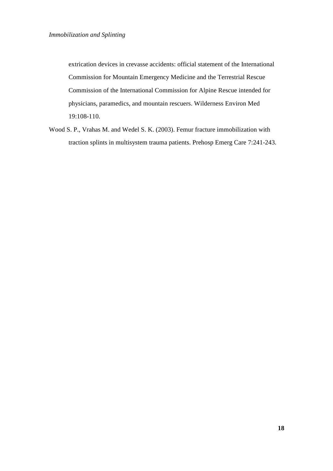extrication devices in crevasse accidents: official statement of the International Commission for Mountain Emergency Medicine and the Terrestrial Rescue Commission of the International Commission for Alpine Rescue intended for physicians, paramedics, and mountain rescuers. Wilderness Environ Med 19:108-110.

Wood S. P., Vrahas M. and Wedel S. K. (2003). Femur fracture immobilization with traction splints in multisystem trauma patients. Prehosp Emerg Care 7:241-243.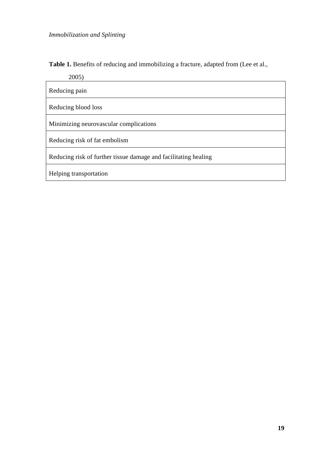Table 1. Benefits of reducing and immobilizing a fracture, adapted from (Lee et al.,

2005)

| Reducing pain                                                   |  |  |  |
|-----------------------------------------------------------------|--|--|--|
| Reducing blood loss                                             |  |  |  |
| Minimizing neurovascular complications                          |  |  |  |
| Reducing risk of fat embolism                                   |  |  |  |
| Reducing risk of further tissue damage and facilitating healing |  |  |  |
| Helping transportation                                          |  |  |  |